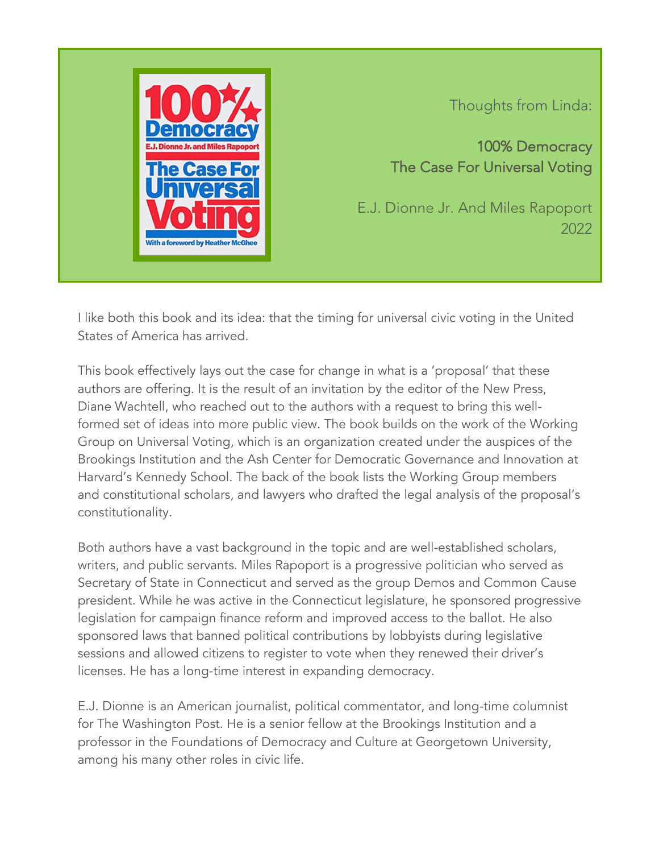

Thoughts from Linda:

100% Democracy The Case For Universal Voting

E.J. Dionne Jr. And Miles Rapoport 2022

I like both this book and its idea: that the timing for universal civic voting in the United States of America has arrived.

This book effectively lays out the case for change in what is a 'proposal' that these authors are offering. It is the result of an invitation by the editor of the New Press, Diane Wachtell, who reached out to the authors with a request to bring this wellformed set of ideas into more public view. The book builds on the work of the Working Group on Universal Voting, which is an organization created under the auspices of the Brookings Institution and the Ash Center for Democratic Governance and Innovation at Harvard's Kennedy School. The back of the book lists the Working Group members and constitutional scholars, and lawyers who drafted the legal analysis of the proposal's constitutionality.

Both authors have a vast background in the topic and are well-established scholars, writers, and public servants. Miles Rapoport is a progressive politician who served as Secretary of State in Connecticut and served as the group Demos and Common Cause president. While he was active in the Connecticut legislature, he sponsored progressive legislation for campaign finance reform and improved access to the ballot. He also sponsored laws that banned political contributions by lobbyists during legislative sessions and allowed citizens to register to vote when they renewed their driver's licenses. He has a long-time interest in expanding democracy.

E.J. Dionne is an American journalist, political commentator, and long-time columnist for The Washington Post. He is a senior fellow at the Brookings Institution and a professor in the Foundations of Democracy and Culture at Georgetown University, among his many other roles in civic life.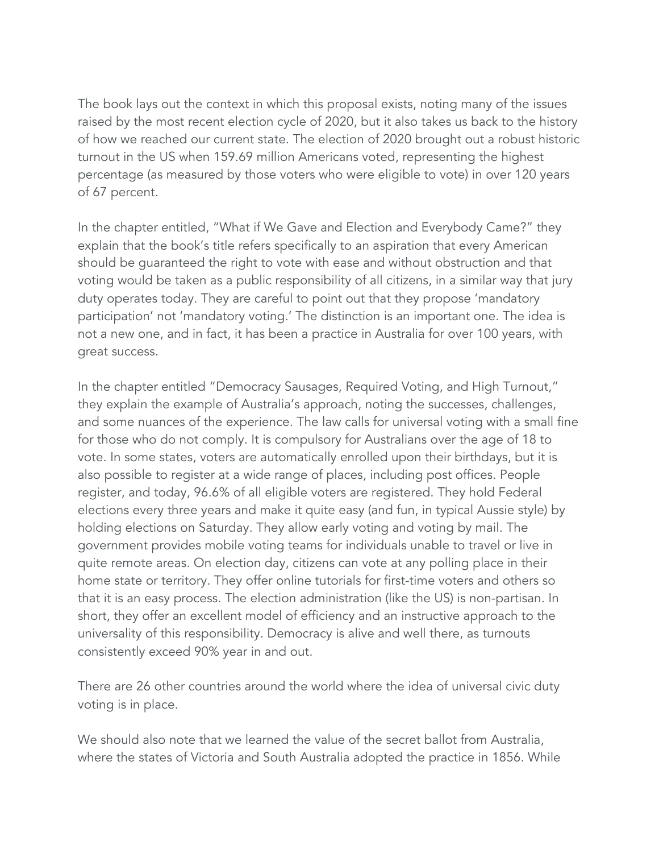The book lays out the context in which this proposal exists, noting many of the issues raised by the most recent election cycle of 2020, but it also takes us back to the history of how we reached our current state. The election of 2020 brought out a robust historic turnout in the US when 159.69 million Americans voted, representing the highest percentage (as measured by those voters who were eligible to vote) in over 120 years of 67 percent.

In the chapter entitled, "What if We Gave and Election and Everybody Came?" they explain that the book's title refers specifically to an aspiration that every American should be guaranteed the right to vote with ease and without obstruction and that voting would be taken as a public responsibility of all citizens, in a similar way that jury duty operates today. They are careful to point out that they propose 'mandatory participation' not 'mandatory voting.' The distinction is an important one. The idea is not a new one, and in fact, it has been a practice in Australia for over 100 years, with great success.

In the chapter entitled "Democracy Sausages, Required Voting, and High Turnout," they explain the example of Australia's approach, noting the successes, challenges, and some nuances of the experience. The law calls for universal voting with a small fine for those who do not comply. It is compulsory for Australians over the age of 18 to vote. In some states, voters are automatically enrolled upon their birthdays, but it is also possible to register at a wide range of places, including post offices. People register, and today, 96.6% of all eligible voters are registered. They hold Federal elections every three years and make it quite easy (and fun, in typical Aussie style) by holding elections on Saturday. They allow early voting and voting by mail. The government provides mobile voting teams for individuals unable to travel or live in quite remote areas. On election day, citizens can vote at any polling place in their home state or territory. They offer online tutorials for first-time voters and others so that it is an easy process. The election administration (like the US) is non-partisan. In short, they offer an excellent model of efficiency and an instructive approach to the universality of this responsibility. Democracy is alive and well there, as turnouts consistently exceed 90% year in and out.

There are 26 other countries around the world where the idea of universal civic duty voting is in place.

We should also note that we learned the value of the secret ballot from Australia, where the states of Victoria and South Australia adopted the practice in 1856. While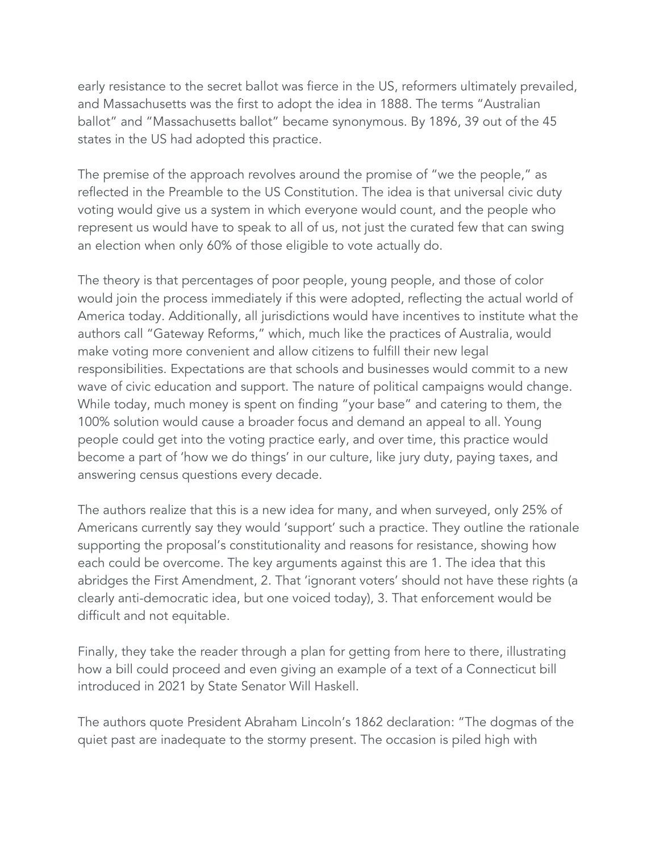early resistance to the secret ballot was fierce in the US, reformers ultimately prevailed, and Massachusetts was the first to adopt the idea in 1888. The terms "Australian ballot" and "Massachusetts ballot" became synonymous. By 1896, 39 out of the 45 states in the US had adopted this practice.

The premise of the approach revolves around the promise of "we the people," as reflected in the Preamble to the US Constitution. The idea is that universal civic duty voting would give us a system in which everyone would count, and the people who represent us would have to speak to all of us, not just the curated few that can swing an election when only 60% of those eligible to vote actually do.

The theory is that percentages of poor people, young people, and those of color would join the process immediately if this were adopted, reflecting the actual world of America today. Additionally, all jurisdictions would have incentives to institute what the authors call "Gateway Reforms," which, much like the practices of Australia, would make voting more convenient and allow citizens to fulfill their new legal responsibilities. Expectations are that schools and businesses would commit to a new wave of civic education and support. The nature of political campaigns would change. While today, much money is spent on finding "your base" and catering to them, the 100% solution would cause a broader focus and demand an appeal to all. Young people could get into the voting practice early, and over time, this practice would become a part of 'how we do things' in our culture, like jury duty, paying taxes, and answering census questions every decade.

The authors realize that this is a new idea for many, and when surveyed, only 25% of Americans currently say they would 'support' such a practice. They outline the rationale supporting the proposal's constitutionality and reasons for resistance, showing how each could be overcome. The key arguments against this are 1. The idea that this abridges the First Amendment, 2. That 'ignorant voters' should not have these rights (a clearly anti-democratic idea, but one voiced today), 3. That enforcement would be difficult and not equitable.

Finally, they take the reader through a plan for getting from here to there, illustrating how a bill could proceed and even giving an example of a text of a Connecticut bill introduced in 2021 by State Senator Will Haskell.

The authors quote President Abraham Lincoln's 1862 declaration: "The dogmas of the quiet past are inadequate to the stormy present. The occasion is piled high with